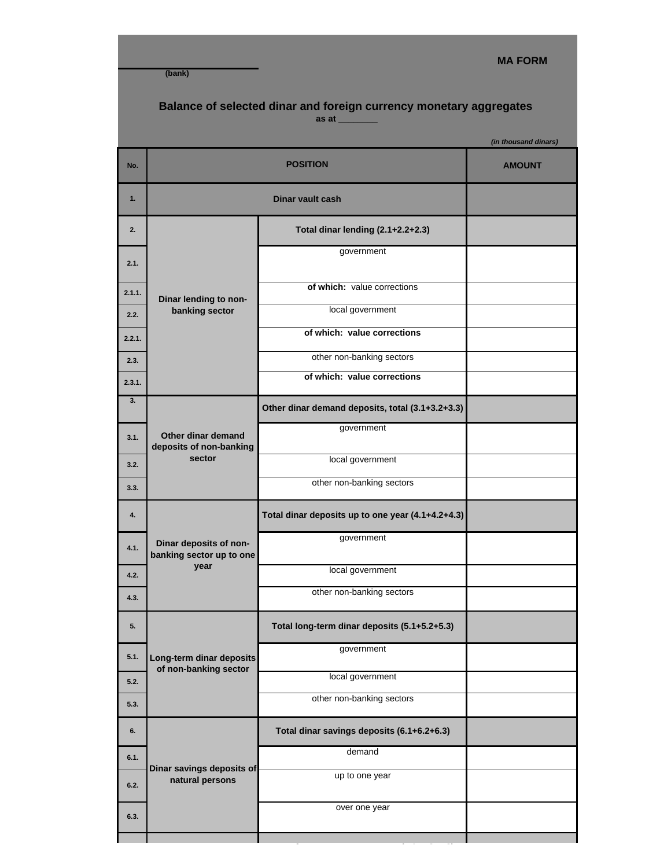**(bank)**

## **MA FORM**

## **Balance of selected dinar and foreign currency monetary aggregates as at \_\_\_\_\_\_\_\_**

|        |                                                            |                                                   | (in thousand dinars) |
|--------|------------------------------------------------------------|---------------------------------------------------|----------------------|
| No.    | <b>POSITION</b>                                            |                                                   | <b>AMOUNT</b>        |
| 1.     | <b>Dinar vault cash</b>                                    |                                                   |                      |
| 2.     | Dinar lending to non-<br>banking sector                    | Total dinar lending (2.1+2.2+2.3)                 |                      |
| 2.1.   |                                                            | government                                        |                      |
| 2.1.1. |                                                            | of which: value corrections                       |                      |
| 2.2.   |                                                            | local government                                  |                      |
| 2.2.1. |                                                            | of which: value corrections                       |                      |
| 2.3.   |                                                            | other non-banking sectors                         |                      |
| 2.3.1. |                                                            | of which: value corrections                       |                      |
| 3.     |                                                            | Other dinar demand deposits, total (3.1+3.2+3.3)  |                      |
| 3.1.   | Other dinar demand<br>deposits of non-banking              | government                                        |                      |
| 3.2.   | sector                                                     | local government                                  |                      |
| 3.3.   |                                                            | other non-banking sectors                         |                      |
| 4.     | Dinar deposits of non-<br>banking sector up to one<br>year | Total dinar deposits up to one year (4.1+4.2+4.3) |                      |
| 4.1.   |                                                            | government                                        |                      |
| 4.2.   |                                                            | local government                                  |                      |
| 4.3.   |                                                            | other non-banking sectors                         |                      |
| 5.     | Long-term dinar deposits<br>of non-banking sector          | Total long-term dinar deposits (5.1+5.2+5.3)      |                      |
| 5.1.   |                                                            | government                                        |                      |
| 5.2.   |                                                            | local government                                  |                      |
| 5.3.   |                                                            | other non-banking sectors                         |                      |
| 6.     | Dinar savings deposits of<br>natural persons               | Total dinar savings deposits (6.1+6.2+6.3)        |                      |
| 6.1.   |                                                            | demand                                            |                      |
| 6.2.   |                                                            | up to one year                                    |                      |
| 6.3.   |                                                            | over one year                                     |                      |
|        |                                                            |                                                   |                      |